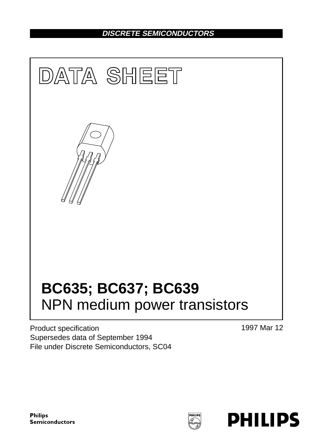## **DISCRETE SEMICONDUCTORS**



Product specification Supersedes data of September 1994 File under Discrete Semiconductors, SC04 1997 Mar 12

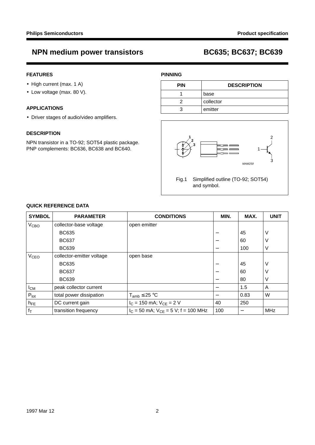### **FEATURES**

- High current (max. 1 A)
- Low voltage (max. 80 V).

### **APPLICATIONS**

• Driver stages of audio/video amplifiers.

### **DESCRIPTION**

NPN transistor in a TO-92; SOT54 plastic package. PNP complements: BC636, BC638 and BC640.

### **PINNING**

| <b>PIN</b> | <b>DESCRIPTION</b> |
|------------|--------------------|
|            | base               |
|            | collector          |
|            | emitter            |



| <b>SYMBOL</b>          | <b>PARAMETER</b>          | <b>CONDITIONS</b>                          | MIN.                     | MAX. | <b>UNIT</b>    |
|------------------------|---------------------------|--------------------------------------------|--------------------------|------|----------------|
| V <sub>CBO</sub>       | collector-base voltage    | open emitter                               |                          |      |                |
|                        | <b>BC635</b>              |                                            |                          | 45   | ν              |
|                        | <b>BC637</b>              |                                            |                          | 60   | ν              |
|                        | <b>BC639</b>              |                                            | $\overline{\phantom{0}}$ | 100  | V              |
| <b>V<sub>CEO</sub></b> | collector-emitter voltage | open base                                  |                          |      |                |
|                        | <b>BC635</b>              |                                            |                          | 45   | ν              |
|                        | <b>BC637</b>              |                                            |                          | 60   | ν              |
|                        | <b>BC639</b>              |                                            | –                        | 80   | ν              |
| $I_{CM}$               | peak collector current    |                                            |                          | 1.5  | $\overline{A}$ |
| $P_{\text{tot}}$       | total power dissipation   | $T_{amb} \leq 25 °C$                       |                          | 0.83 | W              |
| $h_{FE}$               | DC current gain           | $I_C = 150$ mA; $V_{CE} = 2$ V             | 40                       | 250  |                |
| $f_T$                  | transition frequency      | $I_C$ = 50 mA; $V_{CF}$ = 5 V; f = 100 MHz | 100                      |      | <b>MHz</b>     |

#### **QUICK REFERENCE DATA**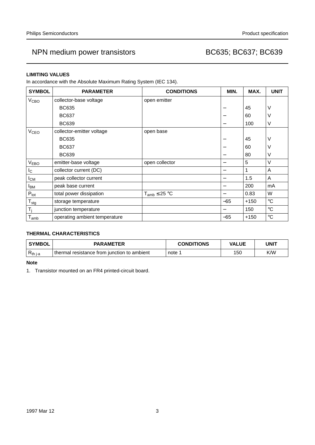### **LIMITING VALUES**

In accordance with the Absolute Maximum Rating System (IEC 134).

| <b>SYMBOL</b>          | <b>PARAMETER</b>              | <b>CONDITIONS</b>    | MIN.  | MAX.   | <b>UNIT</b>       |
|------------------------|-------------------------------|----------------------|-------|--------|-------------------|
| V <sub>CBO</sub>       | collector-base voltage        | open emitter         |       |        |                   |
|                        | <b>BC635</b>                  |                      |       | 45     | V                 |
|                        | <b>BC637</b>                  |                      |       | 60     | V                 |
|                        | <b>BC639</b>                  |                      | —     | 100    | V                 |
| <b>V<sub>CEO</sub></b> | collector-emitter voltage     | open base            |       |        |                   |
|                        | <b>BC635</b>                  |                      |       | 45     | V                 |
|                        | <b>BC637</b>                  |                      |       | 60     | ٧                 |
|                        | <b>BC639</b>                  |                      | —     | 80     | V                 |
| <b>VEBO</b>            | emitter-base voltage          | open collector       | —     | 5      | V                 |
| $I_{\rm C}$            | collector current (DC)        |                      | -     |        | A                 |
| $I_{CM}$               | peak collector current        |                      | -     | 1.5    | A                 |
| <b>I</b> BM            | peak base current             |                      |       | 200    | mA                |
| $P_{\text{tot}}$       | total power dissipation       | $T_{amb} \leq 25 °C$ |       | 0.83   | W                 |
| $T_{\text{stg}}$       | storage temperature           |                      | $-65$ | $+150$ | $^{\circ}C$       |
| T <sub>i</sub>         | junction temperature          |                      |       | 150    | $^{\circ}{\rm C}$ |
| $I_{amb}$              | operating ambient temperature |                      | $-65$ | $+150$ | $^{\circ}{\rm C}$ |

### **THERMAL CHARACTERISTICS**

| <b>SYMBOL</b> | <b>PARAMETER</b>                            | <b>CONDITIONS</b> | VALUE | UNIT |
|---------------|---------------------------------------------|-------------------|-------|------|
| $R_{th j-a}$  | thermal resistance from junction to ambient | note              | 150   | K/W  |

**Note**

1. Transistor mounted on an FR4 printed-circuit board.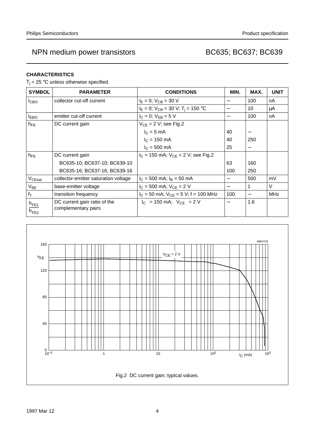### **CHARACTERISTICS**

 $T_i = 25$  °C unless otherwise specified.

| <b>SYMBOL</b>                                                 | <b>PARAMETER</b>                                    | <b>CONDITIONS</b>                           | MIN.                     | MAX.                     | <b>UNIT</b> |
|---------------------------------------------------------------|-----------------------------------------------------|---------------------------------------------|--------------------------|--------------------------|-------------|
| I <sub>CBO</sub>                                              | collector cut-off current                           | $I_E = 0$ ; $V_{CB} = 30$ V                 |                          | 100                      | nA          |
|                                                               |                                                     | $I_E = 0$ ; $V_{CB} = 30$ V; $T_i = 150$ °C |                          | 10                       | μA          |
| $I_{EBO}$                                                     | emitter cut-off current                             | $I_C = 0$ ; $V_{EB} = 5 V$                  | $\overline{\phantom{m}}$ | 100                      | nA          |
| $h_{FE}$                                                      | DC current gain                                     | $V_{CE}$ = 2 V; see Fig.2                   |                          |                          |             |
|                                                               |                                                     | $I_C = 5$ mA                                | 40                       |                          |             |
|                                                               |                                                     | $I_C = 150$ mA                              | 40                       | 250                      |             |
|                                                               |                                                     | $I_C = 500$ mA                              | 25                       | $\overline{\phantom{0}}$ |             |
| $h_{FE}$                                                      | DC current gain                                     | $I_C$ = 150 mA; $V_{CE}$ = 2 V; see Fig.2   |                          |                          |             |
|                                                               | BC635-10; BC637-10; BC639-10                        |                                             | 63                       | 160                      |             |
|                                                               | BC635-16; BC637-16; BC639-16                        |                                             | 100                      | 250                      |             |
| V <sub>CEsat</sub>                                            | collector-emitter saturation voltage                | $I_C$ = 500 mA; $I_B$ = 50 mA               |                          | 500                      | mV          |
| $V_{BE}$                                                      | base-emitter voltage                                | $I_C = 500$ mA; $V_{CE} = 2$ V              | —                        |                          | V           |
| $f_T$                                                         | transition frequency                                | $I_C = 50$ mA; $V_{CE} = 5$ V; f = 100 MHz  | 100                      |                          | <b>MHz</b>  |
| $\frac{\mathsf{h}_{\mathsf{FE1}}}{\mathsf{h}_{\mathsf{FE2}}}$ | DC current gain ratio of the<br>complementary pairs | $ I_C $ = 150 mA; $ V_{CF} $ = 2 V          |                          | 1.6                      |             |

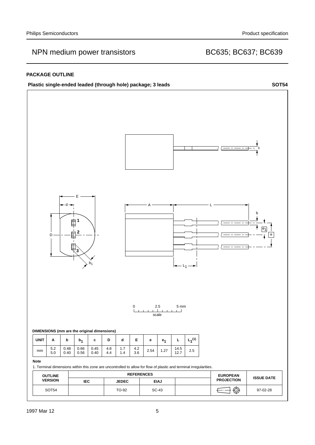#### **PACKAGE OUTLINE**



SOT54 | TO-92 | SC-43 |  $\leftarrow$  |  $\leftarrow$  | 97-02-28

 **IEC JEDEC EIAJ**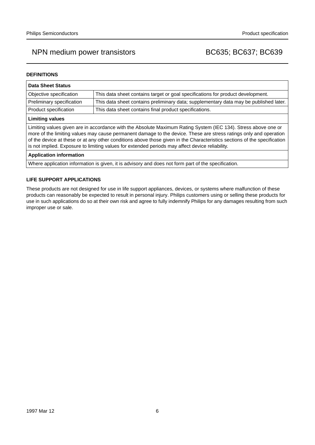#### **DEFINITIONS**

| <b>Data Sheet Status</b>                                                                                                                                                                                                                                                                                                                                                                                                                                           |                                                                                       |  |  |  |
|--------------------------------------------------------------------------------------------------------------------------------------------------------------------------------------------------------------------------------------------------------------------------------------------------------------------------------------------------------------------------------------------------------------------------------------------------------------------|---------------------------------------------------------------------------------------|--|--|--|
| Objective specification                                                                                                                                                                                                                                                                                                                                                                                                                                            | This data sheet contains target or goal specifications for product development.       |  |  |  |
| Preliminary specification                                                                                                                                                                                                                                                                                                                                                                                                                                          | This data sheet contains preliminary data; supplementary data may be published later. |  |  |  |
| Product specification                                                                                                                                                                                                                                                                                                                                                                                                                                              | This data sheet contains final product specifications.                                |  |  |  |
| <b>Limiting values</b>                                                                                                                                                                                                                                                                                                                                                                                                                                             |                                                                                       |  |  |  |
| Limiting values given are in accordance with the Absolute Maximum Rating System (IEC 134). Stress above one or<br>more of the limiting values may cause permanent damage to the device. These are stress ratings only and operation<br>of the device at these or at any other conditions above those given in the Characteristics sections of the specification<br>is not implied. Exposure to limiting values for extended periods may affect device reliability. |                                                                                       |  |  |  |
| <b>Application information</b>                                                                                                                                                                                                                                                                                                                                                                                                                                     |                                                                                       |  |  |  |
| Where application information is given, it is advisory and does not form part of the specification.                                                                                                                                                                                                                                                                                                                                                                |                                                                                       |  |  |  |

### **LIFE SUPPORT APPLICATIONS**

These products are not designed for use in life support appliances, devices, or systems where malfunction of these products can reasonably be expected to result in personal injury. Philips customers using or selling these products for use in such applications do so at their own risk and agree to fully indemnify Philips for any damages resulting from such improper use or sale.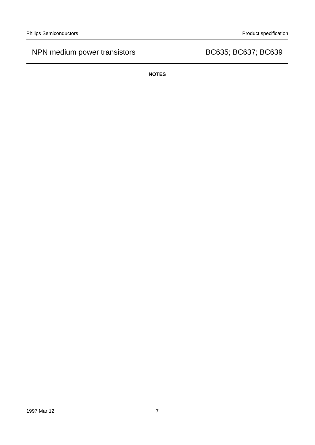**NOTES**